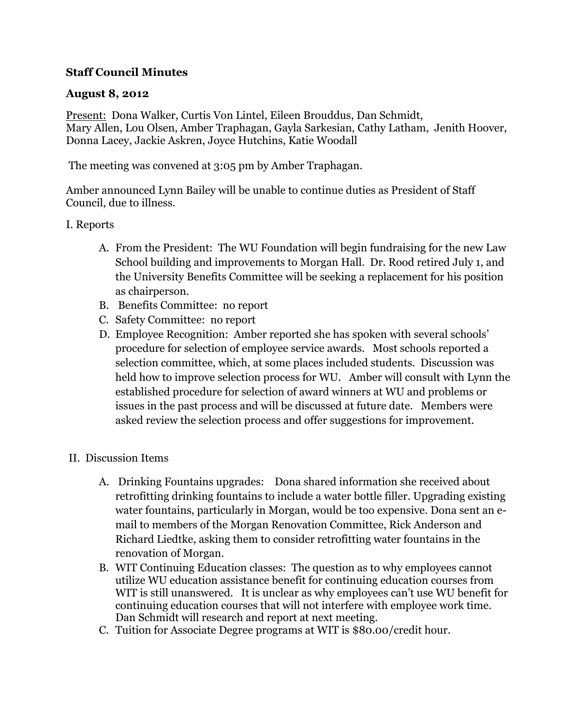## **Staff Council Minutes**

## **August 8, 2012**

Present: Dona Walker, Curtis Von Lintel, Eileen Brouddus, Dan Schmidt, Mary Allen, Lou Olsen, Amber Traphagan, Gayla Sarkesian, Cathy Latham, Jenith Hoover, Donna Lacey, Jackie Askren, Joyce Hutchins, Katie Woodall

The meeting was convened at 3:05 pm by Amber Traphagan.

Amber announced Lynn Bailey will be unable to continue duties as President of Staff Council, due to illness.

## I. Reports

- A. From the President: The WU Foundation will begin fundraising for the new Law School building and improvements to Morgan Hall. Dr. Rood retired July 1, and the University Benefits Committee will be seeking a replacement for his position as chairperson.
- B. Benefits Committee: no report
- C. Safety Committee: no report
- D. Employee Recognition: Amber reported she has spoken with several schools' procedure for selection of employee service awards. Most schools reported a selection committee, which, at some places included students. Discussion was held how to improve selection process for WU. Amber will consult with Lynn the established procedure for selection of award winners at WU and problems or issues in the past process and will be discussed at future date. Members were asked review the selection process and offer suggestions for improvement.
- II. Discussion Items
	- A. Drinking Fountains upgrades: Dona shared information she received about retrofitting drinking fountains to include a water bottle filler. Upgrading existing water fountains, particularly in Morgan, would be too expensive. Dona sent an email to members of the Morgan Renovation Committee, Rick Anderson and Richard Liedtke, asking them to consider retrofitting water fountains in the renovation of Morgan.
	- B. WIT Continuing Education classes: The question as to why employees cannot utilize WU education assistance benefit for continuing education courses from WIT is still unanswered. It is unclear as why employees can't use WU benefit for continuing education courses that will not interfere with employee work time. Dan Schmidt will research and report at next meeting.
	- C. Tuition for Associate Degree programs at WIT is \$80.00/credit hour.